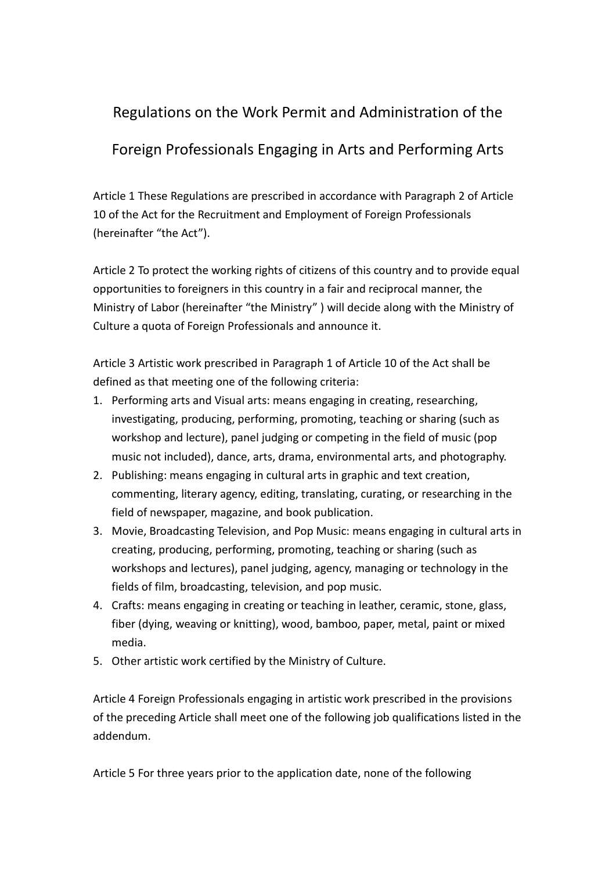## Regulations on the Work Permit and Administration of the

## Foreign Professionals Engaging in Arts and Performing Arts

Article 1 These Regulations are prescribed in accordance with Paragraph 2 of Article 10 of the Act for the Recruitment and Employment of Foreign Professionals (hereinafter "the Act").

Article 2 To protect the working rights of citizens of this country and to provide equal opportunities to foreigners in this country in a fair and reciprocal manner, the Ministry of Labor (hereinafter "the Ministry" ) will decide along with the Ministry of Culture a quota of Foreign Professionals and announce it.

Article 3 Artistic work prescribed in Paragraph 1 of Article 10 of the Act shall be defined as that meeting one of the following criteria:

- 1. Performing arts and Visual arts: means engaging in creating, researching, investigating, producing, performing, promoting, teaching or sharing (such as workshop and lecture), panel judging or competing in the field of music (pop music not included), dance, arts, drama, environmental arts, and photography.
- 2. Publishing: means engaging in cultural arts in graphic and text creation, commenting, literary agency, editing, translating, curating, or researching in the field of newspaper, magazine, and book publication.
- 3. Movie, Broadcasting Television, and Pop Music: means engaging in cultural arts in creating, producing, performing, promoting, teaching or sharing (such as workshops and lectures), panel judging, agency, managing or technology in the fields of film, broadcasting, television, and pop music.
- 4. Crafts: means engaging in creating or teaching in leather, ceramic, stone, glass, fiber (dying, weaving or knitting), wood, bamboo, paper, metal, paint or mixed media.
- 5. Other artistic work certified by the Ministry of Culture.

Article 4 Foreign Professionals engaging in artistic work prescribed in the provisions of the preceding Article shall meet one of the following job qualifications listed in the addendum.

Article 5 For three years prior to the application date, none of the following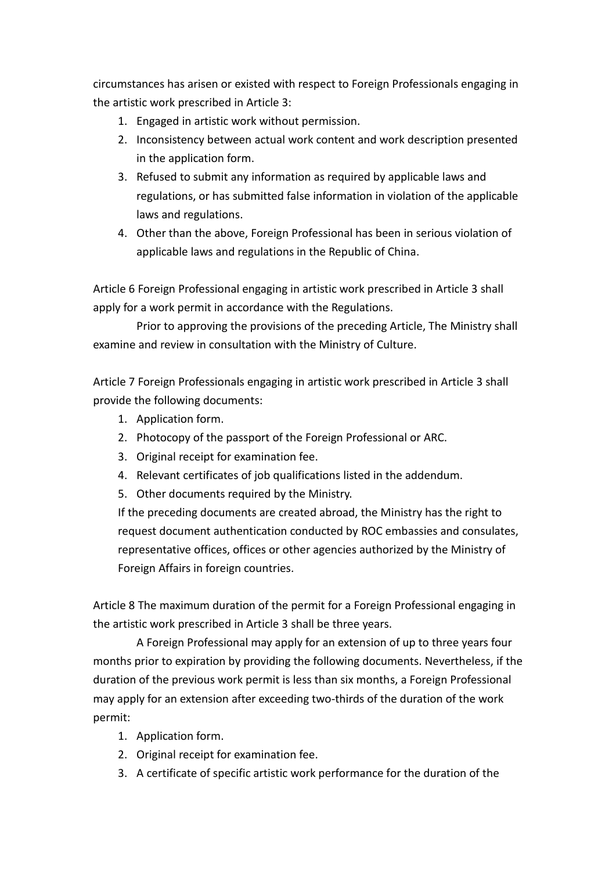circumstances has arisen or existed with respect to Foreign Professionals engaging in the artistic work prescribed in Article 3:

- 1. Engaged in artistic work without permission.
- 2. Inconsistency between actual work content and work description presented in the application form.
- 3. Refused to submit any information as required by applicable laws and regulations, or has submitted false information in violation of the applicable laws and regulations.
- 4. Other than the above, Foreign Professional has been in serious violation of applicable laws and regulations in the Republic of China.

Article 6 Foreign Professional engaging in artistic work prescribed in Article 3 shall apply for a work permit in accordance with the Regulations.

 Prior to approving the provisions of the preceding Article, The Ministry shall examine and review in consultation with the Ministry of Culture.

Article 7 Foreign Professionals engaging in artistic work prescribed in Article 3 shall provide the following documents:

- 1. Application form.
- 2. Photocopy of the passport of the Foreign Professional or ARC.
- 3. Original receipt for examination fee.
- 4. Relevant certificates of job qualifications listed in the addendum.
- 5. Other documents required by the Ministry.

If the preceding documents are created abroad, the Ministry has the right to request document authentication conducted by ROC embassies and consulates, representative offices, offices or other agencies authorized by the Ministry of Foreign Affairs in foreign countries.

Article 8 The maximum duration of the permit for a Foreign Professional engaging in the artistic work prescribed in Article 3 shall be three years.

A Foreign Professional may apply for an extension of up to three years four months prior to expiration by providing the following documents. Nevertheless, if the duration of the previous work permit is less than six months, a Foreign Professional may apply for an extension after exceeding two-thirds of the duration of the work permit:

- 1. Application form.
- 2. Original receipt for examination fee.
- 3. A certificate of specific artistic work performance for the duration of the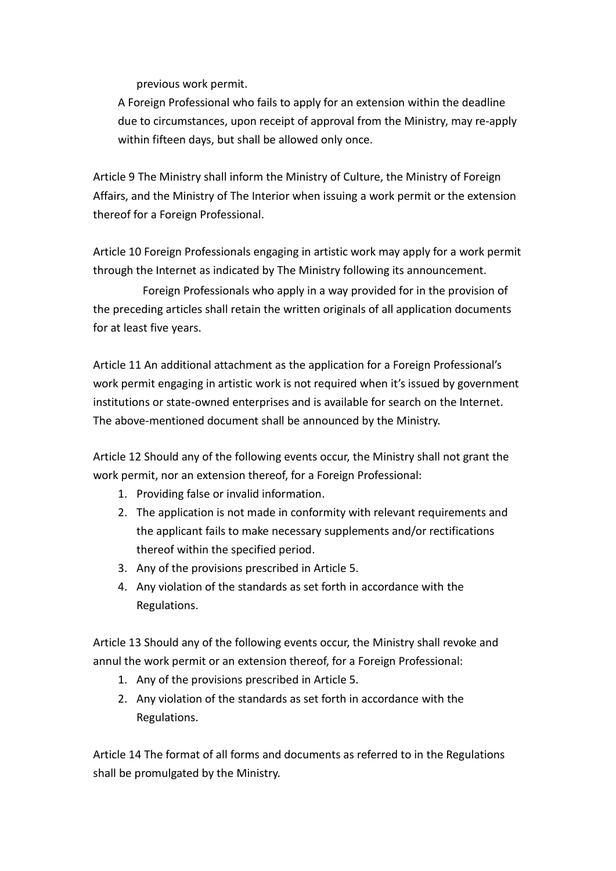previous work permit.

A Foreign Professional who fails to apply for an extension within the deadline due to circumstances, upon receipt of approval from the Ministry, may re-apply within fifteen days, but shall be allowed only once.

Article 9 The Ministry shall inform the Ministry of Culture, the Ministry of Foreign Affairs, and the Ministry of The Interior when issuing a work permit or the extension thereof for a Foreign Professional.

Article 10 Foreign Professionals engaging in artistic work may apply for a work permit through the Internet as indicated by The Ministry following its announcement.

 Foreign Professionals who apply in a way provided for in the provision of the preceding articles shall retain the written originals of all application documents for at least five years.

Article 11 An additional attachment as the application for a Foreign Professional's work permit engaging in artistic work is not required when it's issued by government institutions or state-owned enterprises and is available for search on the Internet. The above-mentioned document shall be announced by the Ministry.

Article 12 Should any of the following events occur, the Ministry shall not grant the work permit, nor an extension thereof, for a Foreign Professional:

- 1. Providing false or invalid information.
- 2. The application is not made in conformity with relevant requirements and the applicant fails to make necessary supplements and/or rectifications thereof within the specified period.
- 3. Any of the provisions prescribed in Article 5.
- 4. Any violation of the standards as set forth in accordance with the Regulations.

Article 13 Should any of the following events occur, the Ministry shall revoke and annul the work permit or an extension thereof, for a Foreign Professional:

- 1. Any of the provisions prescribed in Article 5.
- 2. Any violation of the standards as set forth in accordance with the Regulations.

Article 14 The format of all forms and documents as referred to in the Regulations shall be promulgated by the Ministry.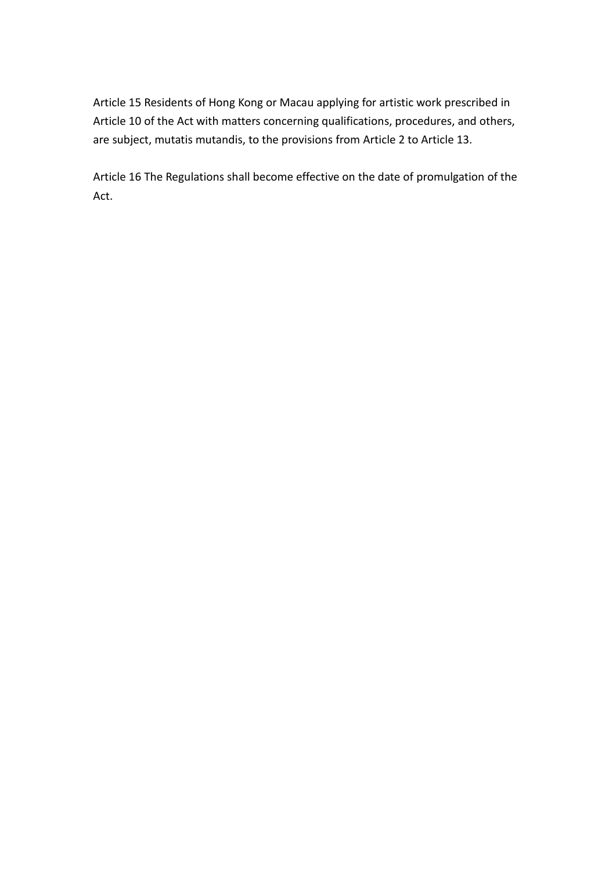Article 15 Residents of Hong Kong or Macau applying for artistic work prescribed in Article 10 of the Act with matters concerning qualifications, procedures, and others, are subject, mutatis mutandis, to the provisions from Article 2 to Article 13.

Article 16 The Regulations shall become effective on the date of promulgation of the Act.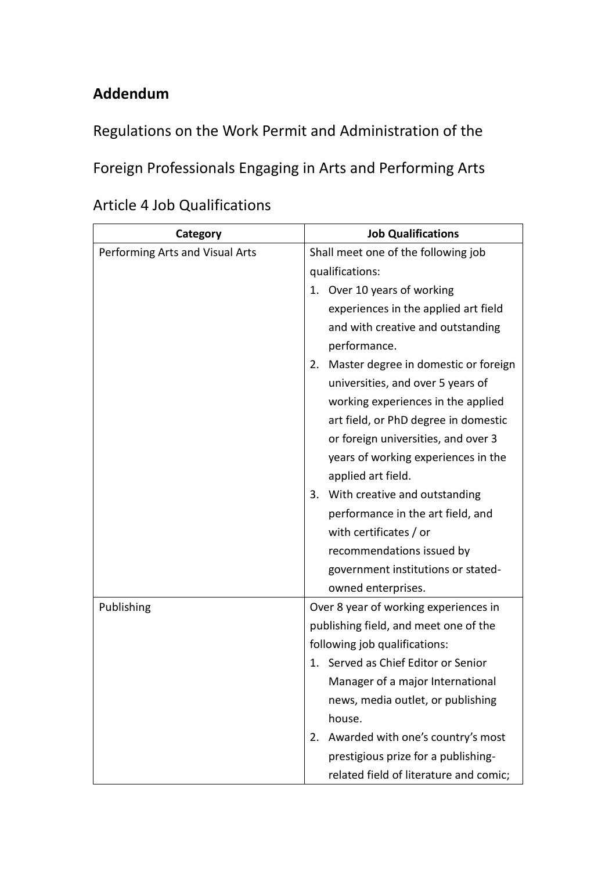## **Addendum**

Regulations on the Work Permit and Administration of the

Foreign Professionals Engaging in Arts and Performing Arts

| Category                        | <b>Job Qualifications</b>                  |
|---------------------------------|--------------------------------------------|
| Performing Arts and Visual Arts | Shall meet one of the following job        |
|                                 | qualifications:                            |
|                                 | 1. Over 10 years of working                |
|                                 | experiences in the applied art field       |
|                                 | and with creative and outstanding          |
|                                 | performance.                               |
|                                 | Master degree in domestic or foreign<br>2. |
|                                 | universities, and over 5 years of          |
|                                 | working experiences in the applied         |
|                                 | art field, or PhD degree in domestic       |
|                                 | or foreign universities, and over 3        |
|                                 | years of working experiences in the        |
|                                 | applied art field.                         |
|                                 | With creative and outstanding<br>3.        |
|                                 | performance in the art field, and          |
|                                 | with certificates / or                     |
|                                 | recommendations issued by                  |
|                                 | government institutions or stated-         |
|                                 | owned enterprises.                         |
| Publishing                      | Over 8 year of working experiences in      |
|                                 | publishing field, and meet one of the      |
|                                 | following job qualifications:              |
|                                 | 1. Served as Chief Editor or Senior        |
|                                 | Manager of a major International           |
|                                 | news, media outlet, or publishing          |
|                                 | house.                                     |
|                                 | Awarded with one's country's most<br>2.    |
|                                 | prestigious prize for a publishing-        |
|                                 | related field of literature and comic;     |

|  | <b>Article 4 Job Qualifications</b> |
|--|-------------------------------------|
|--|-------------------------------------|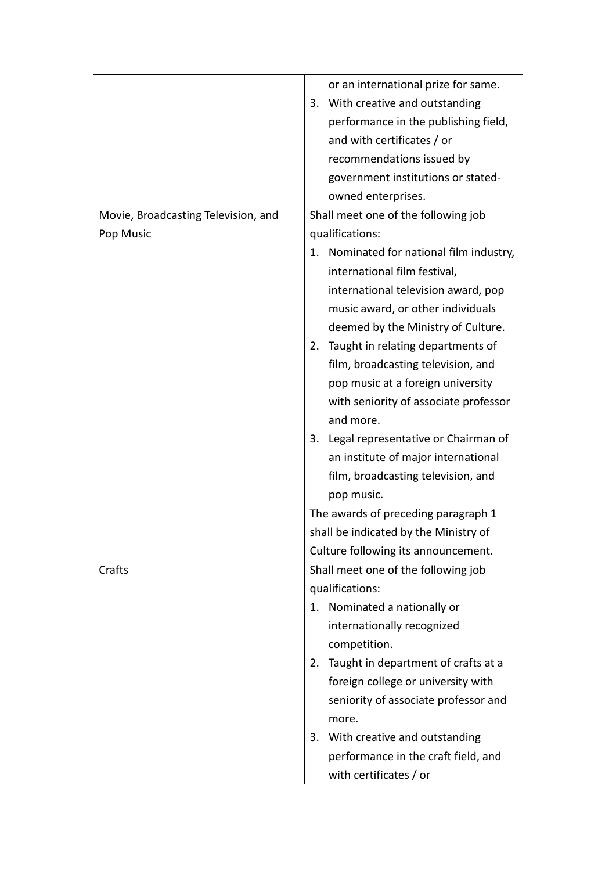|                                     | or an international prize for same.                                      |
|-------------------------------------|--------------------------------------------------------------------------|
|                                     | With creative and outstanding<br>3.                                      |
|                                     | performance in the publishing field,                                     |
|                                     | and with certificates / or                                               |
|                                     | recommendations issued by                                                |
|                                     | government institutions or stated-                                       |
|                                     | owned enterprises.                                                       |
| Movie, Broadcasting Television, and | Shall meet one of the following job                                      |
| Pop Music                           | qualifications:                                                          |
|                                     |                                                                          |
|                                     | 1. Nominated for national film industry,<br>international film festival, |
|                                     | international television award, pop                                      |
|                                     | music award, or other individuals                                        |
|                                     | deemed by the Ministry of Culture.                                       |
|                                     | Taught in relating departments of<br>2.                                  |
|                                     | film, broadcasting television, and                                       |
|                                     | pop music at a foreign university                                        |
|                                     | with seniority of associate professor                                    |
|                                     | and more.                                                                |
|                                     | 3. Legal representative or Chairman of                                   |
|                                     | an institute of major international                                      |
|                                     | film, broadcasting television, and                                       |
|                                     | pop music.                                                               |
|                                     | The awards of preceding paragraph 1                                      |
|                                     | shall be indicated by the Ministry of                                    |
|                                     | Culture following its announcement.                                      |
| Crafts                              | Shall meet one of the following job                                      |
|                                     | qualifications:                                                          |
|                                     | 1. Nominated a nationally or                                             |
|                                     | internationally recognized                                               |
|                                     | competition.                                                             |
|                                     | Taught in department of crafts at a<br>2.                                |
|                                     | foreign college or university with                                       |
|                                     |                                                                          |
|                                     | seniority of associate professor and                                     |
|                                     | more.                                                                    |
|                                     | 3. With creative and outstanding                                         |
|                                     | performance in the craft field, and                                      |
|                                     | with certificates / or                                                   |